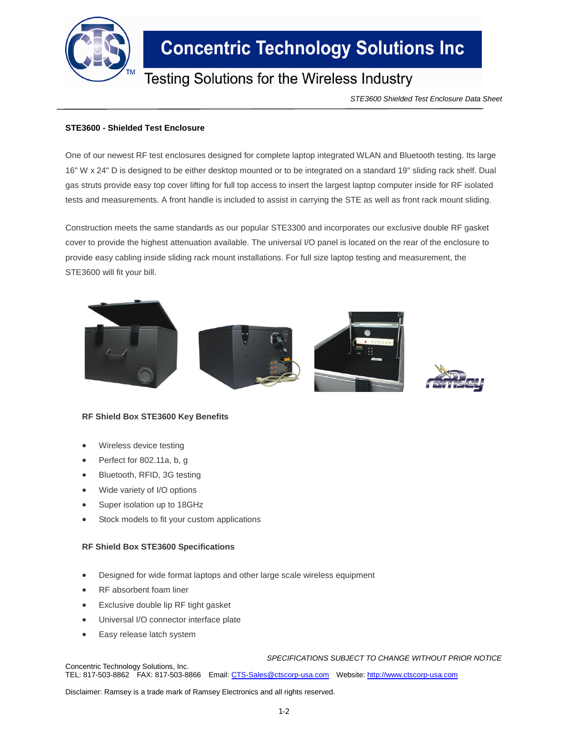

# **Concentric Technology Solutions Inc**

## Testing Solutions for the Wireless Industry

*STE3600 Shielded Test Enclosure Data Sheet*

### **STE3600 - Shielded Test Enclosure**

One of our newest RF test enclosures designed for complete laptop integrated WLAN and Bluetooth testing. Its large 16" W x 24" D is designed to be either desktop mounted or to be integrated on a standard 19" sliding rack shelf. Dual gas struts provide easy top cover lifting for full top access to insert the largest laptop computer inside for RF isolated tests and measurements. A front handle is included to assist in carrying the STE as well as front rack mount sliding.

Construction meets the same standards as our popular STE3300 and incorporates our exclusive double RF gasket cover to provide the highest attenuation available. The universal I/O panel is located on the rear of the enclosure to provide easy cabling inside sliding rack mount installations. For full size laptop testing and measurement, the STE3600 will fit your bill.



### **RF Shield Box STE3600 Key Benefits**

- Wireless device testing
- Perfect for 802.11a, b, g
- Bluetooth, RFID, 3G testing
- Wide variety of I/O options
- Super isolation up to 18GHz
- Stock models to fit your custom applications

#### **RF Shield Box STE3600 Specifications**

- Designed for wide format laptops and other large scale wireless equipment
- RF absorbent foam liner
- Exclusive double lip RF tight gasket
- Universal I/O connector interface plate
- Easy release latch system

*SPECIFICATIONS SUBJECT TO CHANGE WITHOUT PRIOR NOTICE*

Concentric Technology Solutions, Inc. TEL: 817-503-8862 FAX: 817-503-8866 Email: CTS-Sales@ctscorp-usa.com Website: http://www.ctscorp-usa.com

Disclaimer: Ramsey is a trade mark of Ramsey Electronics and all rights reserved.